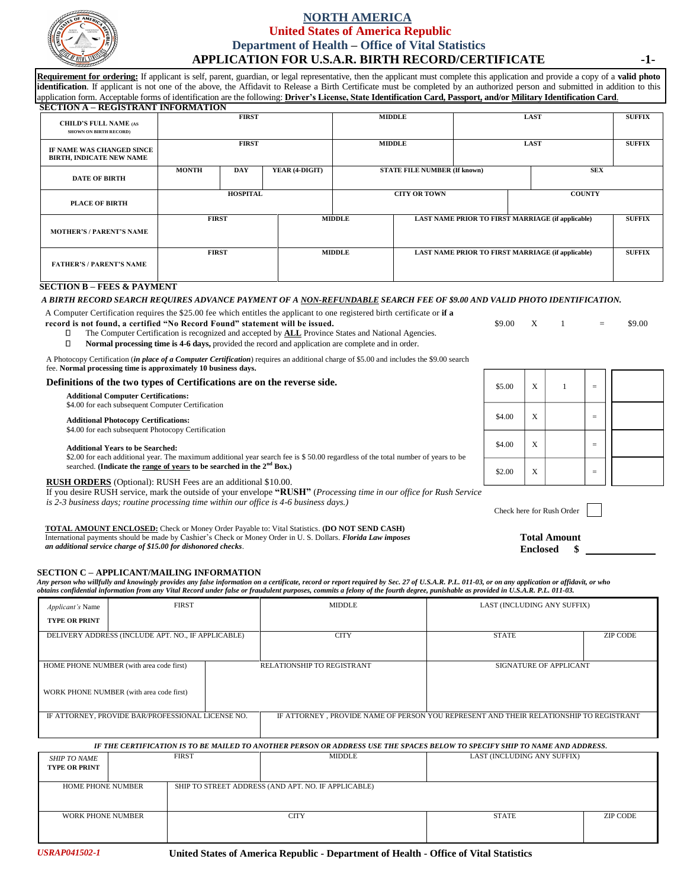

## **NORTH AMERICA United States of America Republic Department of Health – Office of Vital Statistics APPLICATION FOR U.S.A.R. BIRTH RECORD/CERTIFICATE -1-**

**Requirement for ordering:** If applicant is self, parent, guardian, or legal representative, then the applicant must complete this application and provide a copy of a **valid photo**  identification. If applicant is not one of the above, the Affidavit to Release a Birth Certificate must be completed by an authorized person and submitted in addition to this application form. Acceptable forms of identification are the following: **Driver's License, State Identification Card, Passport, and/or Military Identification Card**. **SECTION A – REGISTRANT INFORMATION**

| $\mu$                                                         |                 |            |                                                                           |                                     |  |               |                                                          |               |
|---------------------------------------------------------------|-----------------|------------|---------------------------------------------------------------------------|-------------------------------------|--|---------------|----------------------------------------------------------|---------------|
| <b>CHILD'S FULL NAME (AS</b><br><b>SHOWN ON BIRTH RECORD)</b> | <b>FIRST</b>    |            |                                                                           | <b>MIDDLE</b>                       |  |               | <b>LAST</b>                                              | <b>SUFFIX</b> |
| IF NAME WAS CHANGED SINCE<br><b>BIRTH, INDICATE NEW NAME</b>  | <b>FIRST</b>    |            | <b>MIDDLE</b>                                                             |                                     |  |               | <b>LAST</b>                                              | <b>SUFFIX</b> |
| <b>DATE OF BIRTH</b>                                          | <b>MONTH</b>    | <b>DAY</b> | YEAR (4-DIGIT)                                                            | <b>STATE FILE NUMBER (If known)</b> |  | <b>SEX</b>    |                                                          |               |
| <b>PLACE OF BIRTH</b>                                         | <b>HOSPITAL</b> |            | <b>CITY OR TOWN</b><br><b>COUNTY</b>                                      |                                     |  |               |                                                          |               |
| <b>MOTHER'S / PARENT'S NAME</b>                               | <b>FIRST</b>    |            | <b>MIDDLE</b><br><b>LAST NAME PRIOR TO FIRST MARRIAGE (if applicable)</b> |                                     |  | <b>SUFFIX</b> |                                                          |               |
| <b>FATHER'S / PARENT'S NAME</b>                               | <b>FIRST</b>    |            | <b>MIDDLE</b>                                                             |                                     |  |               | <b>LAST NAME PRIOR TO FIRST MARRIAGE (if applicable)</b> | <b>SUFFIX</b> |

### **SECTION B – FEES & PAYMENT**

### *A BIRTH RECORD SEARCH REQUIRES ADVANCE PAYMENT OF A NON-REFUNDABLE SEARCH FEE OF \$9.00 AND VALID PHOTO IDENTIFICATION.*

A Computer Certification requires the \$25.00 fee which entitles the applicant to one registered birth certificate or **if a**

**record is not found, a certified "No Record Found" statement will be issued. \$9.00** X 1 = \$9.00 X 1 = \$9.00

- The Computer Certification is recognized and accepted by **ALL** Province States and National Agencies.  $\Box$
- $\Box$ **Normal processing time is 4-6 days,** provided the record and application are complete and in order.

A Photocopy Certification (*in place of a Computer Certification*) requires an additional charge of \$5.00 and includes the \$9.00 search fee. **Normal processing time is approximately 10 business days.**

## **Definitions of the two types of Certifications are on the reverse side.**

**Additional Computer Certifications:**

\$4.00 for each subsequent Computer Certification

## **Additional Photocopy Certifications:**

\$4.00 for each subsequent Photocopy Certification

#### **Additional Years to be Searched:**

\$2.00 for each additional year. The maximum additional year search fee is \$50.00 regardless of the total number of years to be searched. (Indicate the <u>range of years</u> to be searched in the 2<sup>nd</sup> Box.)

### **RUSH ORDERS** (Optional): RUSH Fees are an additional \$10.00.

If you desire RUSH service, mark the outside of your envelope **"RUSH"** (*Processing time in our office for Rush Service* 

*is 2-3 business days; routine processing time within our office is 4-6 business days.)*

## **TOTAL AMOUNT ENCLOSED:** Check or Money Order Payable to: Vital Statistics. **(DO NOT SEND CASH)**

International payments should be made by Cashier's Check or Money Order in U. S. Dollars. *Florida Law imposes an additional service charge of \$15.00 for dishonored checks*.

### **SECTION C – APPLICANT/MAILING INFORMATION**

*Any person who willfully and knowingly provides any false information on a certificate, record or report required by Sec. 27 of U.S.A.R. P.L. 011-03, or on any application or affidavit, or who obtains confidential information from any Vital Record under false or fraudulent purposes, commits a felony of the fourth degree, punishable as provided in U.S.A.R. P.L. 011-03.*

| Applicant's Name                                                                                                                             | <b>FIRST</b>                             |             | <b>MIDDLE</b>                                       | LAST (INCLUDING ANY SUFFIX) |                 |  |  |
|----------------------------------------------------------------------------------------------------------------------------------------------|------------------------------------------|-------------|-----------------------------------------------------|-----------------------------|-----------------|--|--|
| <b>TYPE OR PRINT</b>                                                                                                                         |                                          |             |                                                     |                             |                 |  |  |
| DELIVERY ADDRESS (INCLUDE APT. NO., IF APPLICABLE)                                                                                           |                                          | <b>CITY</b> | <b>STATE</b>                                        | <b>ZIP CODE</b>             |                 |  |  |
| HOME PHONE NUMBER (with area code first)                                                                                                     |                                          |             | RELATIONSHIP TO REGISTRANT                          | SIGNATURE OF APPLICANT      |                 |  |  |
|                                                                                                                                              | WORK PHONE NUMBER (with area code first) |             |                                                     |                             |                 |  |  |
| IF ATTORNEY, PROVIDE BAR/PROFESSIONAL LICENSE NO.<br>IF ATTORNEY , PROVIDE NAME OF PERSON YOU REPRESENT AND THEIR RELATIONSHIP TO REGISTRANT |                                          |             |                                                     |                             |                 |  |  |
| IF THE CERTIFICATION IS TO BE MAILED TO ANOTHER PERSON OR ADDRESS USE THE SPACES BELOW TO SPECIFY SHIP TO NAME AND ADDRESS.                  |                                          |             |                                                     |                             |                 |  |  |
| <b>SHIP TO NAME</b><br><b>TYPE OR PRINT</b>                                                                                                  | <b>FIRST</b>                             |             | <b>MIDDLE</b>                                       | LAST (INCLUDING ANY SUFFIX) |                 |  |  |
| <b>HOME PHONE NUMBER</b>                                                                                                                     |                                          |             | SHIP TO STREET ADDRESS (AND APT. NO. IF APPLICABLE) |                             |                 |  |  |
| <b>WORK PHONE NUMBER</b>                                                                                                                     |                                          |             | <b>CITY</b>                                         | <b>STATE</b>                | <b>ZIP CODE</b> |  |  |

**Total Amount Enclosed \$**

Check here for Rush Order

 $$5.00 \quad x \quad 1 \quad 1 =$ 

 $$4.00 \quad X \quad =$ 

 $$4.00 \quad \times \quad \begin{array}{|c|c|} \hline \end{array}$  =

 $$2.00 \quad | \quad X \quad | \quad | \quad =$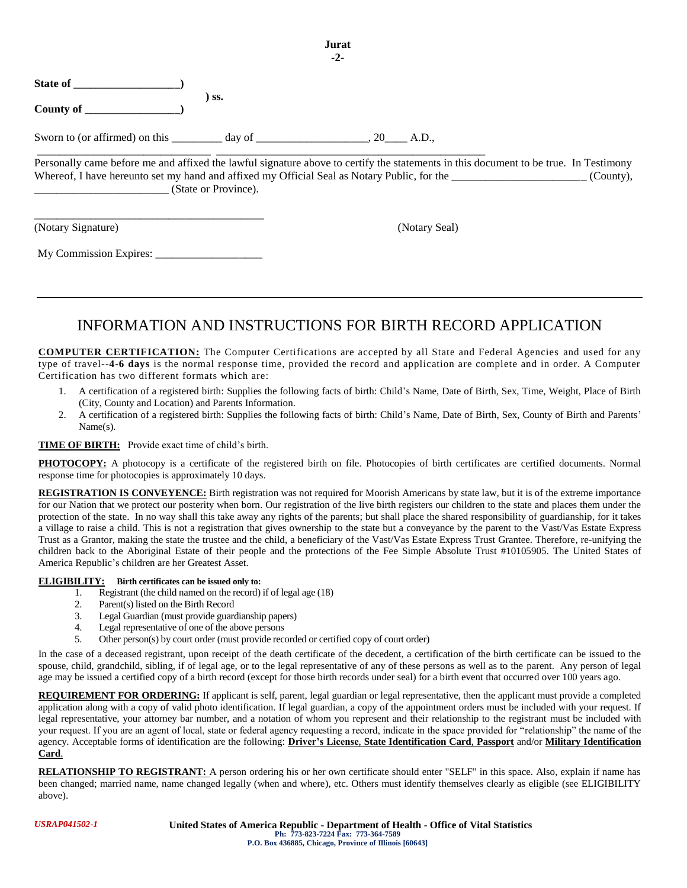|                    |     | $-2-$       |  |
|--------------------|-----|-------------|--|
| State of           |     |             |  |
| County of ________ | SS. |             |  |
|                    |     | 20<br>A.D., |  |

Personally came before me and affixed the lawful signature above to certify the statements in this document to be true. In Testimony Whereof, I have hereunto set my hand and affixed my Official Seal as Notary Public, for the  $(Country)$ , \_\_\_\_\_\_\_\_\_\_\_\_\_\_\_\_\_\_\_\_\_\_\_\_ (State or Province).

**Jurat**

(Notary Signature) (Notary Seal)

| My Commission Expires: |  |
|------------------------|--|
|                        |  |

\_\_\_\_\_\_\_\_\_\_\_\_\_\_\_\_\_\_\_\_\_\_\_\_\_\_\_\_\_\_\_\_\_\_\_\_\_\_\_\_\_

# INFORMATION AND INSTRUCTIONS FOR BIRTH RECORD APPLICATION

**COMPUTER CERTIFICATION:** The Computer Certifications are accepted by all State and Federal Agencies and used for any type of travel--**4-6 days** is the normal response time, provided the record and application are complete and in order. A Computer Certification has two different formats which are:

- 1. A certification of a registered birth: Supplies the following facts of birth: Child's Name, Date of Birth, Sex, Time, Weight, Place of Birth (City, County and Location) and Parents Information.
- 2. A certification of a registered birth: Supplies the following facts of birth: Child's Name, Date of Birth, Sex, County of Birth and Parents' Name(s).

## **TIME OF BIRTH:** Provide exact time of child's birth.

PHOTOCOPY: A photocopy is a certificate of the registered birth on file. Photocopies of birth certificates are certified documents. Normal response time for photocopies is approximately 10 days.

**REGISTRATION IS CONVEYENCE:** Birth registration was not required for Moorish Americans by state law, but it is of the extreme importance for our Nation that we protect our posterity when born. Our registration of the live birth registers our children to the state and places them under the protection of the state. In no way shall this take away any rights of the parents; but shall place the shared responsibility of guardianship, for it takes a village to raise a child. This is not a registration that gives ownership to the state but a conveyance by the parent to the Vast/Vas Estate Express Trust as a Grantor, making the state the trustee and the child, a beneficiary of the Vast/Vas Estate Express Trust Grantee. Therefore, re-unifying the children back to the Aboriginal Estate of their people and the protections of the Fee Simple Absolute Trust #10105905. The United States of America Republic's children are her Greatest Asset.

### **ELIGIBILITY: Birth certificates can be issued only to:**

- 1. Registrant (the child named on the record) if of legal age (18)<br>2. Parent(s) listed on the Birth Record
- Parent(s) listed on the Birth Record
- 3. Legal Guardian (must provide guardianship papers)
- 4. Legal representative of one of the above persons
- 5. Other person(s) by court order (must provide recorded or certified copy of court order)

In the case of a deceased registrant, upon receipt of the death certificate of the decedent, a certification of the birth certificate can be issued to the spouse, child, grandchild, sibling, if of legal age, or to the legal representative of any of these persons as well as to the parent. Any person of legal age may be issued a certified copy of a birth record (except for those birth records under seal) for a birth event that occurred over 100 years ago.

**REQUIREMENT FOR ORDERING:** If applicant is self, parent, legal guardian or legal representative, then the applicant must provide a completed application along with a copy of valid photo identification. If legal guardian, a copy of the appointment orders must be included with your request. If legal representative, your attorney bar number, and a notation of whom you represent and their relationship to the registrant must be included with your request. If you are an agent of local, state or federal agency requesting a record, indicate in the space provided for "relationship" the name of the agency. Acceptable forms of identification are the following: **Driver's License**, **State Identification Card**, **Passport** and/or **Military Identification Card**.

**RELATIONSHIP TO REGISTRANT:** A person ordering his or her own certificate should enter "SELF" in this space. Also, explain if name has been changed; married name, name changed legally (when and where), etc. Others must identify themselves clearly as eligible (see ELIGIBILITY above).